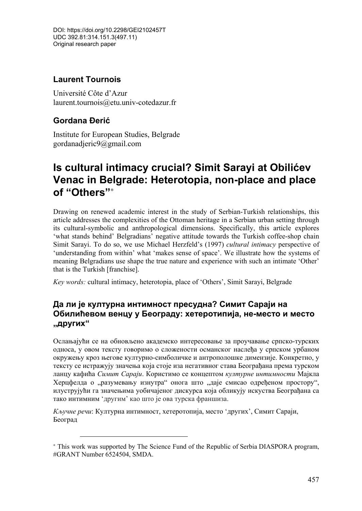DOI: https://doi.org/10.2298/GEI2102457T UDC 392.81:314.151.3(497.11) Original research paper

## **Laurent Tournois**

Université Côte d'Azur laurent.tournois@etu.univ-cotedazur.fr

## **Gordana Đerić**

 $\overline{a}$ 

Institute for European Studies, Belgrade gordanadjeric9@gmail.com

# **Is cultural intimacy crucial? Simit Sarayi at Obilićev Venac in Belgrade: Heterotopia, non-place and place of "Others"**<sup>∗</sup>

Drawing on renewed academic interest in the study of Serbian-Turkish relationships, this article addresses the complexities of the Ottoman heritage in a Serbian urban setting through its cultural-symbolic and anthropological dimensions. Specifically, this article explores 'what stands behind' Belgradians' negative attitude towards the Turkish coffee-shop chain Simit Sarayi. To do so, we use Michael Herzfeld's (1997) *cultural intimacy* perspective of 'understanding from within' what 'makes sense of space'. We illustrate how the systems of meaning Belgradians use shape the true nature and experience with such an intimate 'Other' that is the Turkish [franchise].

*Key words:* cultural intimacy, heterotopia, place of 'Others', Simit Sarayi, Belgrade

## **Да ли је културна интимност пресудна? Симит Сараји на Обилићевом венцу у Београду: хетеротипија, не-место и место "других"**

Ослањајући се на обновљено академско интересовање за проучавање српско-турских односа, у овом тексту говоримо о сложености османског наслеђа у српском урбаном окружењу кроз његове културно-симболичке и антрополошке димензије. Конкретно, у тексту се истражују значења која стоје иза негативног става Београђана према турском ланцу кафића *Симит Сараји*. Користимо се концептом *културне интимности* Мајкла Херцфелда о "разумевању изнутра" онога што "даје смисао одређеном простору", илуструјући га значењима уобичајеног дискурса која обликују искуства Београђана са тако интимним ʻдругим' као што је ова турска франшиза.

*Кључне речи*: Културна интимност, хетеротопија, место ʻдругих', Симит Сараји, Београд

<sup>∗</sup> This work was supported by The Science Fund of the Republic of Serbia DIASPORA program, #GRANT Number 6524504, SMDA.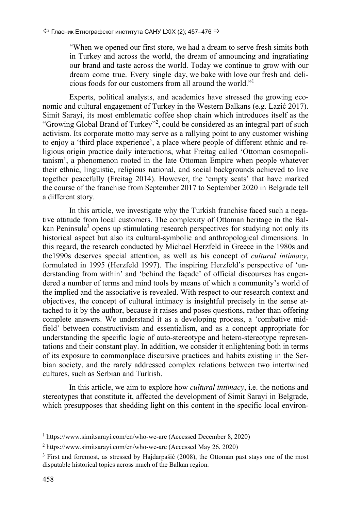"When we opened our first store, we had a dream to serve fresh simits both in Turkey and across the world, the dream of announcing and ingratiating our brand and taste across the world. Today we continue to grow with our dream come true. Every single day, we bake with love our fresh and delicious foods for our customers from all around the world."<sup>1</sup>

Experts, political analysts, and academics have stressed the growing economic and cultural engagement of Turkey in the Western Balkans (e.g. Lazić 2017). Simit Sarayi, its most emblematic coffee shop chain which introduces itself as the "Growing Global Brand of Turkey"<sup>2</sup>, could be considered as an integral part of such activism. Its corporate motto may serve as a rallying point to any customer wishing to enjoy a 'third place experience', a place where people of different ethnic and religious origin practice daily interactions, what Freitag called 'Ottoman cosmopolitanism', a phenomenon rooted in the late Ottoman Empire when people whatever their ethnic, linguistic, religious national, and social backgrounds achieved to live together peacefully (Freitag 2014). However, the 'empty seats' that have marked the course of the franchise from September 2017 to September 2020 in Belgrade tell a different story.

In this article, we investigate why the Turkish franchise faced such a negative attitude from local customers. The complexity of Ottoman heritage in the Balkan Peninsula<sup>3</sup> opens up stimulating research perspectives for studying not only its historical aspect but also its cultural-symbolic and anthropological dimensions. In this regard, the research conducted by Michael Herzfeld in Greece in the 1980s and the1990s deserves special attention, as well as his concept of *cultural intimacy*, formulated in 1995 (Herzfeld 1997). The inspiring Herzfeld's perspective of 'understanding from within' and 'behind the façade' of official discourses has engendered a number of terms and mind tools by means of which a community's world of the implied and the associative is revealed. With respect to our research context and objectives, the concept of cultural intimacy is insightful precisely in the sense attached to it by the author, because it raises and poses questions, rather than offering complete answers. We understand it as a developing process, a 'combative midfield' between constructivism and essentialism, and as a concept appropriate for understanding the specific logic of auto-stereotype and hetero-stereotype representations and their constant play. In addition, we consider it enlightening both in terms of its exposure to commonplace discursive practices and habits existing in the Serbian society, and the rarely addressed complex relations between two intertwined cultures, such as Serbian and Turkish.

In this article, we aim to explore how *cultural intimacy*, i.e. the notions and stereotypes that constitute it, affected the development of Simit Sarayi in Belgrade, which presupposes that shedding light on this content in the specific local environ-

 <sup>1</sup> https://www.simitsarayi.com/en/who-we-are (Accessed December 8, 2020)

<sup>2</sup> https://www.simitsarayi.com/en/who-we-are (Accessed May 26, 2020)

<sup>&</sup>lt;sup>3</sup> First and foremost, as stressed by Hajdarpašić (2008), the Ottoman past stays one of the most disputable historical topics across much of the Balkan region.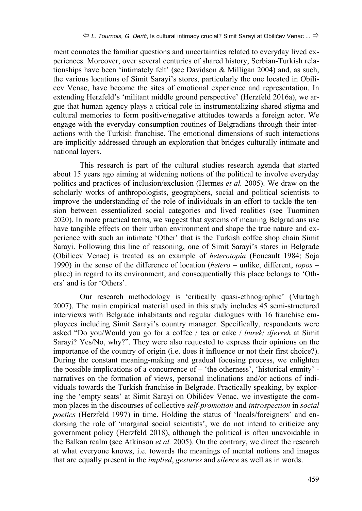ment connotes the familiar questions and uncertainties related to everyday lived experiences. Moreover, over several centuries of shared history, Serbian-Turkish relationships have been 'intimately felt' (see Davidson & Milligan 2004) and, as such, the various locations of Simit Sarayi's stores, particularly the one located in Obilicev Venac, have become the sites of emotional experience and representation. In extending Herzfeld's 'militant middle ground perspective' (Herzfeld 2016a), we argue that human agency plays a critical role in instrumentalizing shared stigma and cultural memories to form positive/negative attitudes towards a foreign actor. We engage with the everyday consumption routines of Belgradians through their interactions with the Turkish franchise. The emotional dimensions of such interactions are implicitly addressed through an exploration that bridges culturally intimate and national layers.

This research is part of the cultural studies research agenda that started about 15 years ago aiming at widening notions of the political to involve everyday politics and practices of inclusion/exclusion (Hermes *et al.* 2005). We draw on the scholarly works of anthropologists, geographers, social and political scientists to improve the understanding of the role of individuals in an effort to tackle the tension between essentialized social categories and lived realities (see Tuominen 2020). In more practical terms, we suggest that systems of meaning Belgradians use have tangible effects on their urban environment and shape the true nature and experience with such an intimate 'Other' that is the Turkish coffee shop chain Simit Sarayi. Following this line of reasoning, one of Simit Sarayi's stores in Belgrade (Obilicev Venac) is treated as an example of *heterotopia* (Foucault 1984; Soja 1990) in the sense of the difference of location (*hetero* – unlike, different, *topos* – place) in regard to its environment, and consequentially this place belongs to 'Others' and is for 'Others'.

Our research methodology is 'critically quasi-ethnographic' (Murtagh 2007). The main empirical material used in this study includes 45 semi-structured interviews with Belgrade inhabitants and regular dialogues with 16 franchise employees including Simit Sarayi's country manager. Specifically, respondents were asked "Do you/Would you go for a coffee / tea or cake / *burek*/ *djevrek* at Simit Sarayi? Yes/No, why?". They were also requested to express their opinions on the importance of the country of origin (i.e. does it influence or not their first choice?). During the constant meaning-making and gradual focusing process, we enlighten the possible implications of a concurrence of – 'the otherness', 'historical enmity' narratives on the formation of views, personal inclinations and/or actions of individuals towards the Turkish franchise in Belgrade. Practically speaking, by exploring the 'empty seats' at Simit Sarayi on Obilićev Venac, we investigate the common places in the discourses of collective *self-promotion* and *introspection* in *social poetics* (Herzfeld 1997) in time. Holding the status of 'locals/foreigners' and endorsing the role of 'marginal social scientists', we do not intend to criticize any government policy (Herzfeld 2018), although the political is often unavoidable in the Balkan realm (see Atkinson *et al.* 2005). On the contrary, we direct the research at what everyone knows, i.e. towards the meanings of mental notions and images that are equally present in the *implied*, *gestures* and *silence* as well as in words.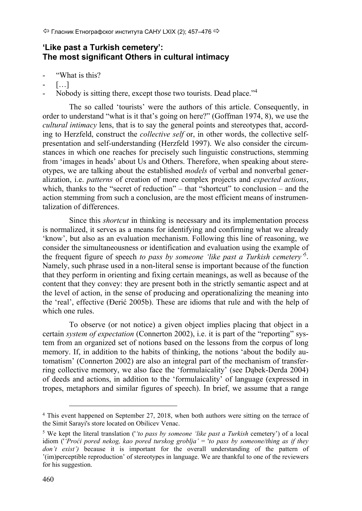## **'Like past a Turkish cemetery': The most significant Others in cultural intimacy**

- "What is this?
- $[...]$
- Nobody is sitting there, except those two tourists. Dead place."<sup>4</sup>

The so called 'tourists' were the authors of this article. Consequently, in order to understand "what is it that's going on here?" (Goffman 1974, 8), we use the *cultural intimacy* lens, that is to say the general points and stereotypes that, according to Herzfeld, construct the *collective self* or, in other words, the collective selfpresentation and self-understanding (Herzfeld 1997). We also consider the circumstances in which one reaches for precisely such linguistic constructions, stemming from 'images in heads' about Us and Others. Therefore, when speaking about stereotypes, we are talking about the established *models* of verbal and nonverbal generalization, i.e. *patterns* of creation of more complex projects and *expected actions*, which, thanks to the "secret of reduction" – that "shortcut" to conclusion – and the action stemming from such a conclusion, are the most efficient means of instrumentalization of differences.

Since this *shortcut* in thinking is necessary and its implementation process is normalized, it serves as a means for identifying and confirming what we already 'know', but also as an evaluation mechanism. Following this line of reasoning, we consider the simultaneousness or identification and evaluation using the example of the frequent figure of speech *to pass by someone 'like past a Turkish cemetery'*<sup>5</sup> . Namely, such phrase used in a non-literal sense is important because of the function that they perform in orienting and fixing certain meanings, as well as because of the content that they convey: they are present both in the strictly semantic aspect and at the level of action, in the sense of producing and operationalizing the meaning into the 'real', effective (Đerić 2005b). These are idioms that rule and with the help of which one rules.

To observe (or not notice) a given object implies placing that object in a certain *system of expectation* (Connerton 2002), i.e. it is part of the "reporting" system from an organized set of notions based on the lessons from the corpus of long memory. If, in addition to the habits of thinking, the notions 'about the bodily automatism' (Connerton 2002) are also an integral part of the mechanism of transferring collective memory, we also face the 'formulaicality' (see Dąbek-Derda 2004) of deeds and actions, in addition to the 'formulaicality' of language (expressed in tropes, metaphors and similar figures of speech). In brief, we assume that a range

 $\overline{a}$ 

<sup>4</sup> This event happened on September 27, 2018, when both authors were sitting on the terrace of the Simit Sarayi's store located on Obilicev Venac.

<sup>5</sup> We kept the literal translation ('*'to pass by someone 'like past a Turkish* cemetery') of a local idiom ('*'Proći pored nekog, kao pored turskog groblja'* = '*to pass by someone/thing as if they don't exist'*) because it is important for the overall understanding of the pattern of '(im)perceptible reproduction' of stereotypes in language. We are thankful to one of the reviewers for his suggestion.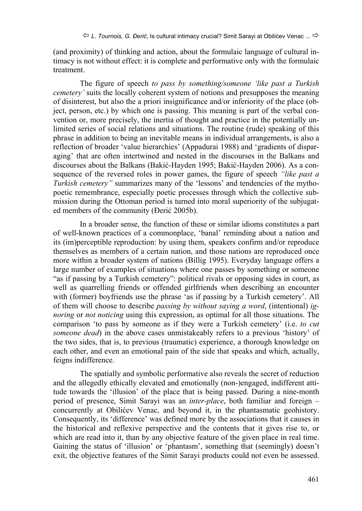(and proximity) of thinking and action, about the formulaic language of cultural intimacy is not without effect: it is complete and performative only with the formulaic treatment.

The figure of speech *to pass by something/someone 'like past a Turkish cemetery'* suits the locally coherent system of notions and presupposes the meaning of disinterest, but also the a priori insignificance and/or inferiority of the place (object, person, etc.) by which one is passing. This meaning is part of the verbal convention or, more precisely, the inertia of thought and practice in the potentially unlimited series of social relations and situations. The routine (rude) speaking of this phrase in addition to being an inevitable means in individual arrangements, is also a reflection of broader 'value hierarchies' (Appadurai 1988) and 'gradients of disparaging' that are often intertwined and nested in the discourses in the Balkans and discourses about the Balkans (Bakić-Hayden 1995; Bakić-Hayden 2006). As a consequence of the reversed roles in power games, the figure of speech *"like past a Turkish cemetery*" summarizes many of the 'lessons' and tendencies of the mythopoetic remembrance, especially poetic processes through which the collective submission during the Ottoman period is turned into moral superiority of the subjugated members of the community (Đerić 2005b).

In a broader sense, the function of these or similar idioms constitutes a part of well-known practices of a commonplace, 'banal' reminding about a nation and its (im)perceptible reproduction: by using them, speakers confirm and/or reproduce themselves as members of a certain nation, and those nations are reproduced once more within a broader system of nations (Billig 1995). Everyday language offers a large number of examples of situations where one passes by something or someone "as if passing by a Turkish cemetery": political rivals or opposing sides in court, as well as quarrelling friends or offended girlfriends when describing an encounter with (former) boyfriends use the phrase 'as if passing by a Turkish cemetery'. All of them will choose to describe *passing by without saying a word*, (intentional) *ignoring* or *not noticing* using this expression, as optimal for all those situations. The comparison 'to pass by someone as if they were a Turkish cemetery' (i.e. *to cut someone dead*) in the above cases unmistakeably refers to a previous 'history' of the two sides, that is, to previous (traumatic) experience, a thorough knowledge on each other, and even an emotional pain of the side that speaks and which, actually, feigns indifference.

The spatially and symbolic performative also reveals the secret of reduction and the allegedly ethically elevated and emotionally (non-)engaged, indifferent attitude towards the 'illusion' of the place that is being passed. During a nine-month period of presence, Simit Sarayi was an *inter-place*, both familiar and foreign – concurrently at Obilićev Venac, and beyond it, in the phantasmatic geohistory. Consequently, its 'difference' was defined more by the associations that it causes in the historical and reflexive perspective and the contents that it gives rise to, or which are read into it, than by any objective feature of the given place in real time. Gaining the status of 'illusion' or 'phantasm', something that (seemingly) doesn't exit, the objective features of the Simit Sarayi products could not even be assessed.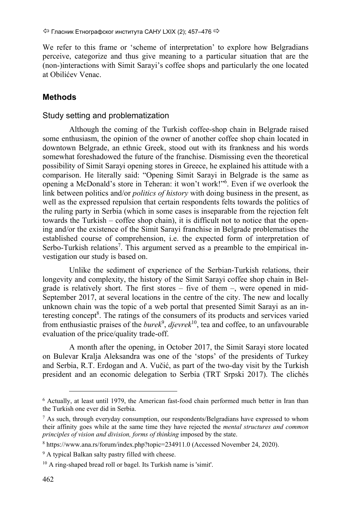We refer to this frame or 'scheme of interpretation' to explore how Belgradians perceive, categorize and thus give meaning to a particular situation that are the (non-)interactions with Simit Sarayi's coffee shops and particularly the one located at Obilićev Venac.

## **Methods**

### Study setting and problematization

Although the coming of the Turkish coffee-shop chain in Belgrade raised some enthusiasm, the opinion of the owner of another coffee shop chain located in downtown Belgrade, an ethnic Greek, stood out with its frankness and his words somewhat foreshadowed the future of the franchise. Dismissing even the theoretical possibility of Simit Sarayi opening stores in Greece, he explained his attitude with a comparison. He literally said: "Opening Simit Sarayi in Belgrade is the same as opening a McDonald's store in Teheran: it won't work!"6 . Even if we overlook the link between politics and/or *politics of history* with doing business in the present, as well as the expressed repulsion that certain respondents felts towards the politics of the ruling party in Serbia (which in some cases is inseparable from the rejection felt towards the Turkish – coffee shop chain), it is difficult not to notice that the opening and/or the existence of the Simit Sarayi franchise in Belgrade problematises the established course of comprehension, i.e. the expected form of interpretation of Serbo-Turkish relations<sup>7</sup>. This argument served as a preamble to the empirical investigation our study is based on.

Unlike the sediment of experience of the Serbian-Turkish relations, their longevity and complexity, the history of the Simit Sarayi coffee shop chain in Belgrade is relatively short. The first stores – five of them –, were opened in mid-September 2017, at several locations in the centre of the city. The new and locally unknown chain was the topic of a web portal that presented Simit Sarayi as an interesting concept<sup>8</sup>. The ratings of the consumers of its products and services varied from enthusiastic praises of the *burek*<sup>9</sup>, *djevrek*<sup>10</sup>, tea and coffee, to an unfavourable evaluation of the price/quality trade-off.

A month after the opening, in October 2017, the Simit Sarayi store located on Bulevar Kralja Aleksandra was one of the 'stops' of the presidents of Turkey and Serbia, R.T. Erdogan and A. Vučić, as part of the two-day visit by the Turkish president and an economic delegation to Serbia (TRT Srpski 2017). The clichés

 <sup>6</sup> Actually, at least until 1979, the American fast-food chain performed much better in Iran than the Turkish one ever did in Serbia.

 $7$  As such, through everyday consumption, our respondents/Belgradians have expressed to whom their affinity goes while at the same time they have rejected the *mental structures and common principles of vision and division, forms of thinking imposed by the state.* 

<sup>8</sup> https://www.ana.rs/forum/index.php?topic=234911.0 (Accessed November 24, 2020).

<sup>&</sup>lt;sup>9</sup> A typical Balkan salty pastry filled with cheese.

<sup>10</sup> A ring-shaped bread roll or bagel. Its Turkish name is 'simit'.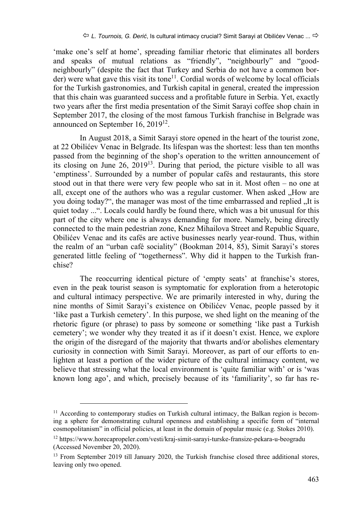'make one's self at home', spreading familiar rhetoric that eliminates all borders and speaks of mutual relations as "friendly", "neighbourly" and "goodneighbourly" (despite the fact that Turkey and Serbia do not have a common border) were what gave this visit its tone<sup>11</sup>. Cordial words of welcome by local officials for the Turkish gastronomies, and Turkish capital in general, created the impression that this chain was guaranteed success and a profitable future in Serbia. Yet, exactly two years after the first media presentation of the Simit Sarayi coffee shop chain in September 2017, the closing of the most famous Turkish franchise in Belgrade was announced on September 16, 201912.

In August 2018, a Simit Sarayi store opened in the heart of the tourist zone, at 22 Obilićev Venac in Belgrade. Its lifespan was the shortest: less than ten months passed from the beginning of the shop's operation to the written announcement of its closing on June 26, 201913. During that period, the picture visible to all was 'emptiness'. Surrounded by a number of popular cafés and restaurants, this store stood out in that there were very few people who sat in it. Most often – no one at all, except one of the authors who was a regular customer. When asked "How are you doing today?", the manager was most of the time embarrassed and replied . It is quiet today ...". Locals could hardly be found there, which was a bit unusual for this part of the city where one is always demanding for more. Namely, being directly connected to the main pedestrian zone, Knez Mihailova Street and Republic Square, Obilićev Venac and its cafés are active businesses nearly year-round. Thus, within the realm of an "urban café sociality" (Bookman 2014, 85), Simit Sarayi's stores generated little feeling of "togetherness". Why did it happen to the Turkish franchise?

The reoccurring identical picture of 'empty seats' at franchise's stores, even in the peak tourist season is symptomatic for exploration from a heterotopic and cultural intimacy perspective. We are primarily interested in why, during the nine months of Simit Sarayi's existence on Obilićev Venac, people passed by it 'like past a Turkish cemetery'. In this purpose, we shed light on the meaning of the rhetoric figure (or phrase) to pass by someone or something 'like past a Turkish cemetery'; we wonder why they treated it as if it doesn't exist. Hence, we explore the origin of the disregard of the majority that thwarts and/or abolishes elementary curiosity in connection with Simit Sarayi. Moreover, as part of our efforts to enlighten at least a portion of the wider picture of the cultural intimacy content, we believe that stressing what the local environment is 'quite familiar with' or is 'was known long ago', and which, precisely because of its 'familiarity', so far has re-

 $\overline{a}$ 

<sup>&</sup>lt;sup>11</sup> According to contemporary studies on Turkish cultural intimacy, the Balkan region is becoming a sphere for demonstrating cultural openness and establishing a specific form of "internal cosmopolitanism" in official policies, at least in the domain of popular music (e.g. Stokes 2010).

<sup>12</sup> https://www.horecapropeler.com/vesti/kraj-simit-sarayi-turske-fransize-pekara-u-beogradu (Accessed November 20, 2020).

<sup>&</sup>lt;sup>13</sup> From September 2019 till January 2020, the Turkish franchise closed three additional stores, leaving only two opened.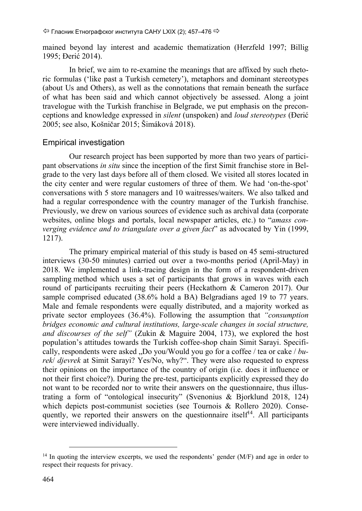mained beyond lay interest and academic thematization (Herzfeld 1997; Billig 1995; Đerić 2014).

In brief, we aim to re-examine the meanings that are affixed by such rhetoric formulas ('like past a Turkish cemetery'), metaphors and dominant stereotypes (about Us and Others), as well as the connotations that remain beneath the surface of what has been said and which cannot objectively be assessed. Along a joint travelogue with the Turkish franchise in Belgrade, we put emphasis on the preconceptions and knowledge expressed in *silent* (unspoken) and *loud stereotypes* (Đerić 2005; see also, Košničar 2015; Šimáková 2018).

#### Empirical investigation

Our research project has been supported by more than two years of participant observations *in situ* since the inception of the first Simit franchise store in Belgrade to the very last days before all of them closed. We visited all stores located in the city center and were regular customers of three of them. We had 'on-the-spot' conversations with 5 store managers and 10 waitresses/waiters. We also talked and had a regular correspondence with the country manager of the Turkish franchise. Previously, we drew on various sources of evidence such as archival data (corporate websites, online blogs and portals, local newspaper articles, etc.) to "*amass converging evidence and to triangulate over a given fact*" as advocated by Yin (1999, 1217).

The primary empirical material of this study is based on 45 semi-structured interviews (30-50 minutes) carried out over a two-months period (April-May) in 2018. We implemented a link-tracing design in the form of a respondent-driven sampling method which uses a set of participants that grows in waves with each round of participants recruiting their peers (Heckathorn & Cameron 2017). Our sample comprised educated (38.6% hold a BA) Belgradians aged 19 to 77 years. Male and female respondents were equally distributed, and a majority worked as private sector employees (36.4%). Following the assumption that *"consumption bridges economic and cultural institutions, large-scale changes in social structure, and discourses of the self"* (Zukin & Maguire 2004, 173), we explored the host population's attitudes towards the Turkish coffee-shop chain Simit Sarayi. Specifically, respondents were asked "Do you/Would you go for a coffee / tea or cake / *burek*/ *djevrek* at Simit Sarayi? Yes/No, why?". They were also requested to express their opinions on the importance of the country of origin (i.e. does it influence or not their first choice?). During the pre-test, participants explicitly expressed they do not want to be recorded nor to write their answers on the questionnaire, thus illustrating a form of "ontological insecurity" (Svenonius & Bjorklund 2018, 124) which depicts post-communist societies (see Tournois & Rollero 2020). Consequently, we reported their answers on the questionnaire itself $14$ . All participants were interviewed individually.

<sup>&</sup>lt;sup>14</sup> In quoting the interview excerpts, we used the respondents' gender (M/F) and age in order to respect their requests for privacy.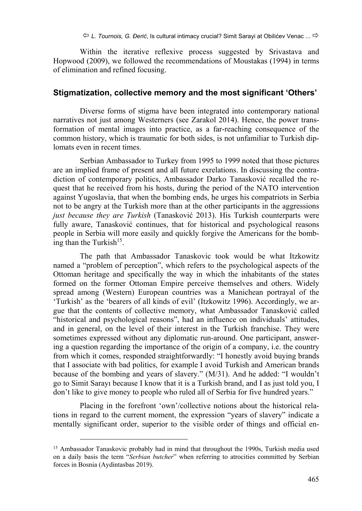Within the iterative reflexive process suggested by Srivastava and Hopwood (2009), we followed the recommendations of Moustakas (1994) in terms of elimination and refined focusing.

#### **Stigmatization, collective memory and the most significant 'Others'**

Diverse forms of stigma have been integrated into contemporary national narratives not just among Westerners (see Zarakol 2014). Hence, the power transformation of mental images into practice, as a far-reaching consequence of the common history, which is traumatic for both sides, is not unfamiliar to Turkish diplomats even in recent times.

Serbian Ambassador to Turkey from 1995 to 1999 noted that those pictures are an implied frame of present and all future exrelations. In discussing the contradiction of contemporary politics, Ambassador Darko Tanasković recalled the request that he received from his hosts, during the period of the NATO intervention against Yugoslavia, that when the bombing ends, he urges his compatriots in Serbia not to be angry at the Turkish more than at the other participants in the aggressions *just because they are Turkish* (Tanasković 2013). His Turkish counterparts were fully aware, Tanasković continues, that for historical and psychological reasons people in Serbia will more easily and quickly forgive the Americans for the bombing than the Turkish<sup>15</sup>.

The path that Ambassador Tanaskovic took would be what Itzkowitz named a "problem of perception", which refers to the psychological aspects of the Ottoman heritage and specifically the way in which the inhabitants of the states formed on the former Ottoman Empire perceive themselves and others. Widely spread among (Western) European countries was a Manichean portrayal of the 'Turkish' as the 'bearers of all kinds of evil' (Itzkowitz 1996). Accordingly, we argue that the contents of collective memory, what Ambassador Tanasković called "historical and psychological reasons", had an influence on individuals' attitudes, and in general, on the level of their interest in the Turkish franchise. They were sometimes expressed without any diplomatic run-around. One participant, answering a question regarding the importance of the origin of a company, i.e. the country from which it comes, responded straightforwardly: "I honestly avoid buying brands that I associate with bad politics, for example I avoid Turkish and American brands because of the bombing and years of slavery." (M/31). And he added: "I wouldn't go to Simit Sarayı because I know that it is a Turkish brand, and I as just told you, I don't like to give money to people who ruled all of Serbia for five hundred years."

Placing in the forefront 'own'/collective notions about the historical relations in regard to the current moment, the expression "years of slavery" indicate a mentally significant order, superior to the visible order of things and official en-

 $\overline{a}$ 

<sup>&</sup>lt;sup>15</sup> Ambassador Tanaskovic probably had in mind that throughout the 1990s, Turkish media used on a daily basis the term "*Serbian butcher*" when referring to atrocities committed by Serbian forces in Bosnia (Aydintasbas 2019).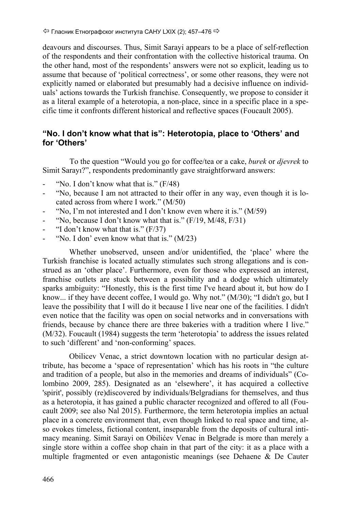$\Leftrightarrow$  Гласник Етнографског института САНУ LXIX (2); 457–476  $\Leftrightarrow$ 

deavours and discourses. Thus, Simit Sarayi appears to be a place of self-reflection of the respondents and their confrontation with the collective historical trauma. On the other hand, most of the respondents' answers were not so explicit, leading us to assume that because of 'political correctness', or some other reasons, they were not explicitly named or elaborated but presumably had a decisive influence on individuals' actions towards the Turkish franchise. Consequently, we propose to consider it as a literal example of a heterotopia, a non-place, since in a specific place in a specific time it confronts different historical and reflective spaces (Foucault 2005).

## **"No. I don't know what that is": Heterotopia, place to 'Others' and for 'Others'**

 To the question "Would you go for coffee/tea or a cake, *burek* or *djevrek* to Simit Sarayı?", respondents predominantly gave straightforward answers:

- "No. I don't know what that is."  $(F/48)$
- "No, because I am not attracted to their offer in any way, even though it is located across from where I work." (M/50)
- "No, I'm not interested and I don't know even where it is."  $(M/59)$
- "No, because I don't know what that is."  $(F/19, M/48, F/31)$
- "I don't know what that is."  $(F/37)$
- "No. I don' even know what that is."  $(M/23)$

Whether unobserved, unseen and/or unidentified, the 'place' where the Turkish franchise is located actually stimulates such strong allegations and is construed as an 'other place'. Furthermore, even for those who expressed an interest, franchise outlets are stuck between a possibility and a dodge which ultimately sparks ambiguity: "Honestly, this is the first time I've heard about it, but how do I know... if they have decent coffee, I would go. Why not." (M/30); "I didn't go, but I leave the possibility that I will do it because I live near one of the facilities. I didn't even notice that the facility was open on social networks and in conversations with friends, because by chance there are three bakeries with a tradition where I live." (M/32). Foucault (1984) suggests the term 'heterotopia' to address the issues related to such 'different' and 'non-conforming' spaces.

Obilicev Venac, a strict downtown location with no particular design attribute, has become a 'space of representation' which has his roots in "the culture and tradition of a people, but also in the memories and dreams of individuals" (Colombino 2009, 285). Designated as an 'elsewhere', it has acquired a collective 'spirit', possibly (re)discovered by individuals/Belgradians for themselves, and thus as a heterotopia, it has gained a public character recognized and offered to all (Foucault 2009; see also Nal 2015). Furthermore, the term heterotopia implies an actual place in a concrete environment that, even though linked to real space and time, also evokes timeless, fictional content, inseparable from the deposits of cultural intimacy meaning. Simit Sarayi on Obilićev Venac in Belgrade is more than merely a single store within a coffee shop chain in that part of the city: it as a place with a multiple fragmented or even antagonistic meanings (see Dehaene & De Cauter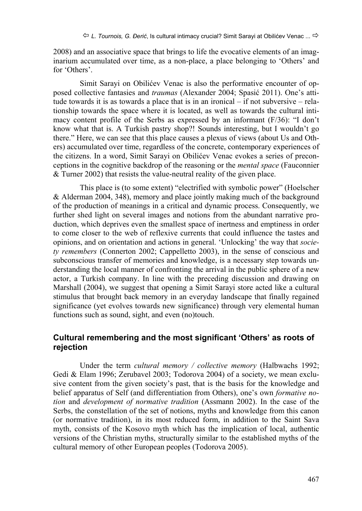2008) and an associative space that brings to life the evocative elements of an imaginarium accumulated over time, as a non-place, a place belonging to 'Others' and for 'Others'.

Simit Sarayi on Obilićev Venac is also the performative encounter of opposed collective fantasies and *traumas* (Alexander 2004; Spasić 2011). One's attitude towards it is as towards a place that is in an ironical – if not subversive – relationship towards the space where it is located, as well as towards the cultural intimacy content profile of the Serbs as expressed by an informant (F/36): "I don't know what that is. A Turkish pastry shop?! Sounds interesting, but I wouldn't go there." Here, we can see that this place causes a plexus of views (about Us and Others) accumulated over time, regardless of the concrete, contemporary experiences of the citizens. In a word, Simit Sarayi on Obilićev Venac evokes a series of preconceptions in the cognitive backdrop of the reasoning or the *mental space* (Fauconnier & Turner 2002) that resists the value-neutral reality of the given place.

This place is (to some extent) "electrified with symbolic power" (Hoelscher & Alderman 2004, 348), memory and place jointly making much of the background of the production of meanings in a critical and dynamic process. Consequently, we further shed light on several images and notions from the abundant narrative production, which deprives even the smallest space of inertness and emptiness in order to come closer to the web of reflexive currents that could influence the tastes and opinions, and on orientation and actions in general. 'Unlocking' the way that *society remembers* (Connerton 2002; Cappelletto 2003), in the sense of conscious and subconscious transfer of memories and knowledge, is a necessary step towards understanding the local manner of confronting the arrival in the public sphere of a new actor, a Turkish company. In line with the preceding discussion and drawing on Marshall (2004), we suggest that opening a Simit Sarayi store acted like a cultural stimulus that brought back memory in an everyday landscape that finally regained significance (yet evolves towards new significance) through very elemental human functions such as sound, sight, and even (no)touch.

## **Cultural remembering and the most significant 'Others' as roots of rejection**

Under the term *cultural memory / collective memory* (Halbwachs 1992; Gedi & Elam 1996; Zerubavel 2003; Todorova 2004) of a society, we mean exclusive content from the given society's past, that is the basis for the knowledge and belief apparatus of Self (and differentiation from Others), one's own *formative notion* and *development of normative tradition* (Assmann 2002). In the case of the Serbs, the constellation of the set of notions, myths and knowledge from this canon (or normative tradition), in its most reduced form, in addition to the Saint Sava myth, consists of the Kosovo myth which has the implication of local, authentic versions of the Christian myths, structurally similar to the established myths of the cultural memory of other European peoples (Todorova 2005).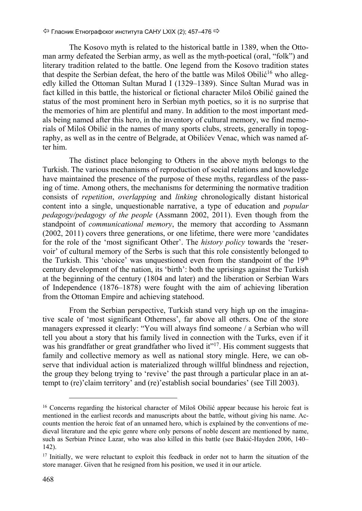The Kosovo myth is related to the historical battle in 1389, when the Ottoman army defeated the Serbian army, as well as the myth-poetical (oral, "folk") and literary tradition related to the battle. One legend from the Kosovo tradition states that despite the Serbian defeat, the hero of the battle was Miloš Obilić<sup>16</sup> who allegedly killed the Ottoman Sultan Murad I (1329–1389). Since Sultan Murad was in fact killed in this battle, the historical or fictional character Miloš Obilić gained the status of the most prominent hero in Serbian myth poetics, so it is no surprise that the memories of him are plentiful and many. In addition to the most important medals being named after this hero, in the inventory of cultural memory, we find memorials of Miloš Obilić in the names of many sports clubs, streets, generally in topography, as well as in the centre of Belgrade, at Obilićev Venac, which was named after him.

The distinct place belonging to Others in the above myth belongs to the Turkish. The various mechanisms of reproduction of social relations and knowledge have maintained the presence of the purpose of these myths, regardless of the passing of time. Among others, the mechanisms for determining the normative tradition consists of *repetition*, *overlapping* and *linking* chronologically distant historical content into a single, unquestionable narrative, a type of education and *popular pedagogy/pedagogy of the people* (Assmann 2002, 2011). Even though from the standpoint of *communicational memory*, the memory that according to Assmann (2002, 2011) covers three generations, or one lifetime, there were more 'candidates for the role of the 'most significant Other'. The *history policy* towards the 'reservoir' of cultural memory of the Serbs is such that this role consistently belonged to the Turkish. This 'choice' was unquestioned even from the standpoint of the  $19<sup>th</sup>$ century development of the nation, its 'birth': both the uprisings against the Turkish at the beginning of the century (1804 and later) and the liberation or Serbian Wars of Independence (1876–1878) were fought with the aim of achieving liberation from the Ottoman Empire and achieving statehood.

From the Serbian perspective, Turkish stand very high up on the imaginative scale of 'most significant Otherness', far above all others. One of the store managers expressed it clearly: "You will always find someone / a Serbian who will tell you about a story that his family lived in connection with the Turks, even if it was his grandfather or great grandfather who lived it"<sup>17</sup>. His comment suggests that family and collective memory as well as national story mingle. Here, we can observe that individual action is materialized through willful blindness and rejection, the group they belong trying to 'revive' the past through a particular place in an attempt to (re)'claim territory' and (re)'establish social boundaries' (see Till 2003).

<sup>&</sup>lt;sup>16</sup> Concerns regarding the historical character of Miloš Obilić appear because his heroic feat is mentioned in the earliest records and manuscripts about the battle, without giving his name. Accounts mention the heroic feat of an unnamed hero, which is explained by the conventions of medieval literature and the epic genre where only persons of noble descent are mentioned by name, such as Serbian Prince Lazar, who was also killed in this battle (see Bakić-Hayden 2006, 140– 142).

<sup>&</sup>lt;sup>17</sup> Initially, we were reluctant to exploit this feedback in order not to harm the situation of the store manager. Given that he resigned from his position, we used it in our article.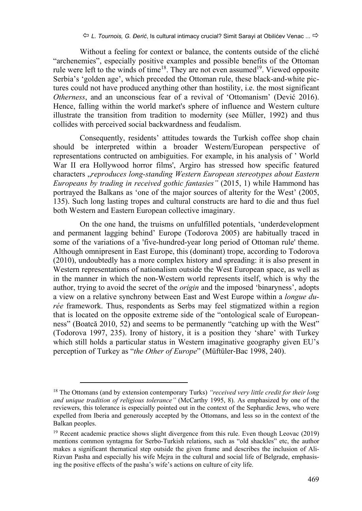Without a feeling for context or balance, the contents outside of the cliché "archenemies", especially positive examples and possible benefits of the Ottoman rule were left to the winds of time<sup>18</sup>. They are not even assumed<sup>19</sup>. Viewed opposite Serbia's 'golden age', which preceded the Ottoman rule, these black-and-white pictures could not have produced anything other than hostility, i.e. the most significant *Otherness*, and an unconscious fear of a revival of 'Ottomanism' (Dević 2016). Hence, falling within the world market's sphere of influence and Western culture illustrate the transition from tradition to modernity (see Müller, 1992) and thus collides with perceived social backwardness and feudalism.

Consequently, residents' attitudes towards the Turkish coffee shop chain should be interpreted within a broader Western/European perspective of representations contructed on ambiguities. For example, in his analysis of ' World War II era Hollywood horror films', Argiro has stressed how specific featured characters "*reproduces long-standing Western European stereotypes about Eastern Europeans by trading in received gothic fantasies"* (2015, 1) while Hammond has portrayed the Balkans as 'one of the major sources of alterity for the West' (2005, 135). Such long lasting tropes and cultural constructs are hard to die and thus fuel both Western and Eastern European collective imaginary.

On the one hand, the truisms on unfulfilled potentials, 'underdevelopment and permanent lagging behind' Europe (Todorova 2005) are habitually traced in some of the variations of a 'five-hundred-year long period of Ottoman rule' theme. Although omnipresent in East Europe, this (dominant) trope, according to Todorova (2010), undoubtedly has a more complex history and spreading: it is also present in Western representations of nationalism outside the West European space, as well as in the manner in which the non-Western world represents itself, which is why the author, trying to avoid the secret of the *origin* and the imposed 'binaryness', adopts a view on a relative synchrony between East and West Europe within a *longue durée* framework. Thus, respondents as Serbs may feel stigmatized within a region that is located on the opposite extreme side of the "ontological scale of Europeanness" (Boatcă 2010, 52) and seems to be permanently "catching up with the West" (Todorova 1997, 235). Irony of history, it is a position they 'share' with Turkey which still holds a particular status in Western imaginative geography given EU's perception of Turkey as "*the Other of Europe*" (Müftüler‐Bac 1998, 240).

 <sup>18</sup> The Ottomans (and by extension contemporary Turks) *"received very little credit for their long and unique tradition of religious tolerance"* (McCarthy 1995, 8). As emphasized by one of the reviewers, this tolerance is especially pointed out in the context of the Sephardic Jews, who were expelled from Iberia and generously accepted by the Ottomans, and less so in the context of the Balkan peoples.

<sup>&</sup>lt;sup>19</sup> Recent academic practice shows slight divergence from this rule. Even though Leovac (2019) mentions common syntagma for Serbo-Turkish relations, such as "old shackles" etc, the author makes a significant thematical step outside the given frame and describes the inclusion of Ali-Rizvan Pasha and especially his wife Mejra in the cultural and social life of Belgrade, emphasising the positive effects of the pasha's wife's actions on culture of city life.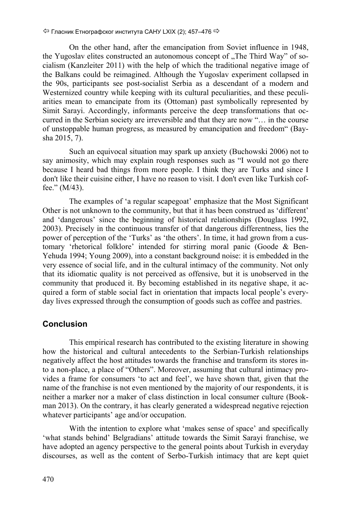On the other hand, after the emancipation from Soviet influence in 1948, the Yugoslav elites constructed an autonomous concept of "The Third Way" of socialism (Kanzleiter 2011) with the help of which the traditional negative image of the Balkans could be reimagined. Although the Yugoslav experiment collapsed in the 90s, participants see post-socialist Serbia as a descendant of a modern and Westernized country while keeping with its cultural peculiarities, and these peculiarities mean to emancipate from its (Ottoman) past symbolically represented by Simit Sarayi. Accordingly, informants perceive the deep transformations that occurred in the Serbian society are irreversible and that they are now "… in the course of unstoppable human progress, as measured by emancipation and freedom" (Baysha 2015, 7).

Such an equivocal situation may spark up anxiety (Buchowski 2006) not to say animosity, which may explain rough responses such as "I would not go there because I heard bad things from more people. I think they are Turks and since I don't like their cuisine either, I have no reason to visit. I don't even like Turkish coffee." (M/43).

The examples of 'a regular scapegoat' emphasize that the Most Significant Other is not unknown to the community, but that it has been construed as 'different' and 'dangerous' since the beginning of historical relationships (Douglass 1992, 2003). Precisely in the continuous transfer of that dangerous differentness, lies the power of perception of the 'Turks' as 'the others'. In time, it had grown from a customary 'rhetorical folklore' intended for stirring moral panic (Goode & Ben-Yehuda 1994; Young 2009), into a constant background noise: it is embedded in the very essence of social life, and in the cultural intimacy of the community. Not only that its idiomatic quality is not perceived as offensive, but it is unobserved in the community that produced it. By becoming established in its negative shape, it acquired a form of stable social fact in orientation that impacts local people's everyday lives expressed through the consumption of goods such as coffee and pastries.

#### **Conclusion**

This empirical research has contributed to the existing literature in showing how the historical and cultural antecedents to the Serbian-Turkish relationships negatively affect the host attitudes towards the franchise and transform its stores into a non-place, a place of "Others". Moreover, assuming that cultural intimacy provides a frame for consumers 'to act and feel', we have shown that, given that the name of the franchise is not even mentioned by the majority of our respondents, it is neither a marker nor a maker of class distinction in local consumer culture (Bookman 2013). On the contrary, it has clearly generated a widespread negative rejection whatever participants' age and/or occupation.

With the intention to explore what 'makes sense of space' and specifically 'what stands behind' Belgradians' attitude towards the Simit Sarayi franchise, we have adopted an agency perspective to the general points about Turkish in everyday discourses, as well as the content of Serbo-Turkish intimacy that are kept quiet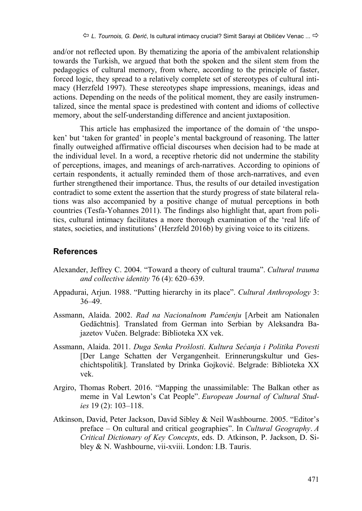and/or not reflected upon. By thematizing the aporia of the ambivalent relationship towards the Turkish, we argued that both the spoken and the silent stem from the pedagogics of cultural memory, from where, according to the principle of faster, forced logic, they spread to a relatively complete set of stereotypes of cultural intimacy (Herzfeld 1997). These stereotypes shape impressions, meanings, ideas and actions. Depending on the needs of the political moment, they are easily instrumentalized, since the mental space is predestined with content and idioms of collective memory, about the self-understanding difference and ancient juxtaposition.

This article has emphasized the importance of the domain of 'the unspoken' but 'taken for granted' in people's mental background of reasoning. The latter finally outweighed affirmative official discourses when decision had to be made at the individual level. In a word, a receptive rhetoric did not undermine the stability of perceptions, images, and meanings of arch-narratives. According to opinions of certain respondents, it actually reminded them of those arch-narratives, and even further strengthened their importance. Thus, the results of our detailed investigation contradict to some extent the assertion that the sturdy progress of state bilateral relations was also accompanied by a positive change of mutual perceptions in both countries (Tesfa-Yohannes 2011). The findings also highlight that, apart from politics, cultural intimacy facilitates a more thorough examination of the 'real life of states, societies, and institutions' (Herzfeld 2016b) by giving voice to its citizens.

#### **References**

- Alexander, Jeffrey C. 2004. "Toward a theory of cultural trauma". *Cultural trauma and collective identity* 76 (4): 620–639.
- Appadurai, Arjun. 1988. "Putting hierarchy in its place". *Cultural Anthropology* 3: 36–49.
- Assmann, Alaida. 2002. *Rad na Nacionalnom Pamćenju* [Arbeit am Nationalen Gedächtnis]*.* Translated from German into Serbian by Aleksandra Bajazetov Vučen. Belgrade: Biblioteka XX vek.
- Assmann, Alaida. 2011. *Duga Senka Prošlosti*. *Kultura Sećanja i Politika Povesti* [Der Lange Schatten der Vergangenheit. Erinnerungskultur und Geschichtspolitik]. Translated by Drinka Gojković. Belgrade: Biblioteka XX vek.
- Argiro, Thomas Robert. 2016. "Mapping the unassimilable: The Balkan other as meme in Val Lewton's Cat People". *European Journal of Cultural Studies* 19 (2): 103–118.
- Atkinson, David, Peter Jackson, David Sibley & Neil Washbourne. 2005. "Editor's preface – On cultural and critical geographies". In *Cultural Geography*. *A Critical Dictionary of Key Concepts*, eds. D. Atkinson, P. Jackson, D. Sibley & N. Washbourne, vii-xviii. London: I.B. Tauris.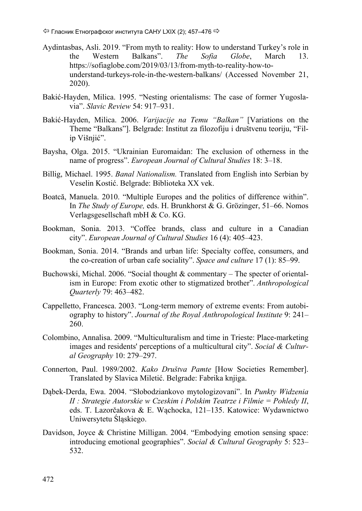$\Leftrightarrow$  Гласник Етнографског института САНУ LXIX (2); 457–476  $\Leftrightarrow$ 

- Aydintasbas, Asli. 2019. "From myth to reality: How to understand Turkey's role in the Western Balkans". *The Sofia Globe*, March 13. https://sofiaglobe.com/2019/03/13/from-myth-to-reality-how-tounderstand-turkeys-role-in-the-western-balkans/ (Accessed November 21, 2020).
- Bakić-Hayden, Milica. 1995. "Nesting orientalisms: The case of former Yugoslavia". *Slavic Review* 54: 917–931.
- Bakić-Hayden, Milica. 2006. *Varijacije na Temu "Balkan"* [Variations on the Theme "Balkans"]. Belgrade: Institut za filozofiju i društvenu teoriju, "Filip Višnjić".
- Baysha, Olga. 2015. "Ukrainian Euromaidan: The exclusion of otherness in the name of progress". *European Journal of Cultural Studies* 18: 3–18.
- Billig, Michael. 1995. *Banal Nationalism.* Translated from English into Serbian by Veselin Kostić. Belgrade: Biblioteka XX vek.
- Boatcă, Manuela. 2010. "Multiple Europes and the politics of difference within". In *The Study of Europe,* eds. H. Brunkhorst & G. Grözinger, 51–66. Nomos Verlagsgesellschaft mbH & Co. KG.
- Bookman, Sonia. 2013. "Coffee brands, class and culture in a Canadian city". *European Journal of Cultural Studies* 16 (4): 405–423.
- Bookman, Sonia. 2014. "Brands and urban life: Specialty coffee, consumers, and the co-creation of urban cafe sociality". *Space and culture* 17 (1): 85–99.
- Buchowski, Michal. 2006. "Social thought & commentary The specter of orientalism in Europe: From exotic other to stigmatized brother". *Anthropological Quarterly* 79: 463–482.
- Cappelletto, Francesca. 2003. "Long‐term memory of extreme events: From autobiography to history". *Journal of the Royal Anthropological Institute* 9: 241– 260.
- Colombino, Annalisa. 2009. "Multiculturalism and time in Trieste: Place-marketing images and residents' perceptions of a multicultural city". *Social & Cultural Geography* 10: 279–297.
- Connerton, Paul. 1989/2002. *Kako Društva Pamte* [How Societies Remember]. Translated by Slavica Miletić. Belgrade: Fabrika knjiga.
- Dąbek-Derda, Ewa. 2004. "Słobodziankovo mytologizovani". In *Punkty Widzenia II : Strategie Autorskie w Czeskim i Polskim Teatrze i Filmie = Pohledy II*, eds. T. Lazorčakova & E. Wąchocka, 121–135. Katowice: Wydawnictwo Uniwersytetu Śląskiego.
- Davidson, Joyce & Christine Milligan. 2004. "Embodying emotion sensing space: introducing emotional geographies". *Social & Cultural Geography* 5: 523– 532.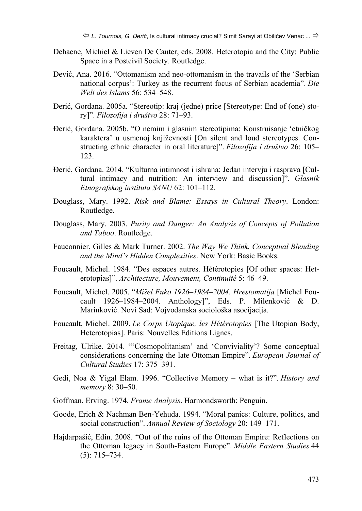- Dehaene, Michiel & Lieven De Cauter, eds. 2008. Heterotopia and the City: Public Space in a Postcivil Society. Routledge.
- Dević, Ana. 2016. "Ottomanism and neo-ottomanism in the travails of the 'Serbian national corpus': Turkey as the recurrent focus of Serbian academia". *Die Welt des Islams* 56: 534–548.
- Đerić, Gordana. 2005a. "Stereotip: kraj (jedne) price [Stereotype: End of (one) story]". *Filozofija i društvo* 28: 71–93.
- Đerić, Gordana. 2005b. "O nemim i glasnim stereotipima: Konstruisanje 'etničkog karaktera' u usmenoj književnosti [On silent and loud stereotypes. Constructing ethnic character in oral literature]". *Filozofija i društvo* 26: 105– 123.
- Đerić, Gordana. 2014. "Kulturna intimnost i ishrana: Jedan intervju i rasprava [Cultural intimacy and nutrition: An interview and discussion]". *Glasnik Etnografskog instituta SANU* 62: 101–112.
- Douglass, Mary. 1992. *Risk and Blame: Essays in Cultural Theory*. London: Routledge.
- Douglass, Mary. 2003. *Purity and Danger: An Analysis of Concepts of Pollution and Taboo*. Routledge.
- Fauconnier, Gilles & Mark Turner. 2002. *The Way We Think. Conceptual Blending and the Mind's Hidden Complexities*. New York: Basic Books.
- Foucault, Michel. 1984. "Des espaces autres. Hétérotopies [Of other spaces: Heterotopias]". *Architecture, Mouvement, Continuité* 5: 46–49.
- Foucault, Michel. 2005. "*Mišel Fuko 1926–1984–2004*. *Hrestomatija* [Michel Foucault 1926*–*1984*–*2004. Anthology]", Eds. P. Milenković & D. Marinković. Novi Sad: Vojvođanska sociološka asocijacija.
- Foucault, Michel. 2009. *Le Corps Utopique, les Hétérotopies* [The Utopian Body, Heterotopias]. Paris: Nouvelles Editions Lignes.
- Freitag, Ulrike. 2014. "'Cosmopolitanism' and 'Conviviality'? Some conceptual considerations concerning the late Ottoman Empire". *European Journal of Cultural Studies* 17: 375–391.
- Gedi, Noa & Yigal Elam. 1996. "Collective Memory what is it?". *History and memory* 8: 30–50.
- Goffman, Erving. 1974. *Frame Analysis*. Harmondsworth: Penguin.
- Goode, Erich & Nachman Ben-Yehuda. 1994. "Moral panics: Culture, politics, and social construction". *Annual Review of Sociology* 20: 149–171.
- Hajdarpašić, Edin. 2008. "Out of the ruins of the Ottoman Empire: Reflections on the Ottoman legacy in South-Eastern Europe". *Middle Eastern Studies* 44 (5): 715–734.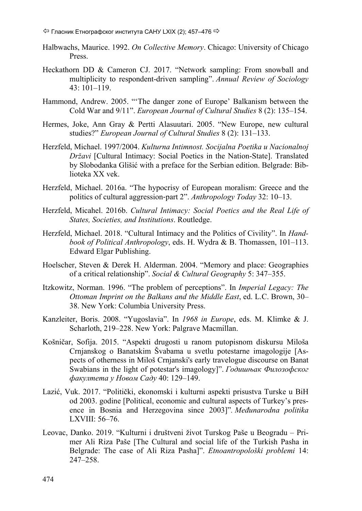- Halbwachs, Maurice. 1992. *On Collective Memory*. Chicago: University of Chicago Press.
- Heckathorn DD & Cameron CJ. 2017. "Network sampling: From snowball and multiplicity to respondent-driven sampling". *Annual Review of Sociology* 43: 101–119.
- Hammond, Andrew. 2005. "'The danger zone of Europe' Balkanism between the Cold War and 9/11". *European Journal of Cultural Studies* 8 (2): 135–154.
- Hermes, Joke, Ann Gray & Pertti Alasuutari. 2005. "New Europe, new cultural studies?" *European Journal of Cultural Studies* 8 (2): 131–133.
- Herzfeld, Michael. 1997/2004. *Kulturna Intimnost. Socijalna Poetika u Nacionalnoj Državi* [Cultural Intimacy: Social Poetics in the Nation-State]. Translated by Slobodanka Glišić with a preface for the Serbian edition. Belgrade: Biblioteka XX vek.
- Herzfeld, Michael. 2016a. "The hypocrisy of European moralism: Greece and the politics of cultural aggression‐part 2". *Anthropology Today* 32: 10–13.
- Herzfeld, Micahel. 2016b. *Cultural Intimacy: Social Poetics and the Real Life of States, Societies, and Institutions*. Routledge.
- Herzfeld, Michael. 2018. "Cultural Intimacy and the Politics of Civility". In *Handbook of Political Anthropology*, eds. H. Wydra & B. Thomassen, 101–113. Edward Elgar Publishing.
- Hoelscher, Steven & Derek H. Alderman. 2004. "Memory and place: Geographies of a critical relationship". *Social & Cultural Geography* 5: 347–355.
- Itzkowitz, Norman. 1996. "The problem of perceptions". In *Imperial Legacy: The Ottoman Imprint on the Balkans and the Middle East*, ed. L.C. Brown, 30– 38. New York: Columbia University Press.
- Kanzleiter, Boris. 2008. "Yugoslavia". In *1968 in Europe*, eds. M. Klimke & J. Scharloth, 219–228. New York: Palgrave Macmillan.
- Košničar, Sofija. 2015. "Aspekti drugosti u ranom putopisnom diskursu Miloša Crnjanskog o Banatskim Švabama u svetlu potestarne imagologije [Aspects of otherness in Miloš Crnjanski's early travelogue discourse on Banat Swabians in the light of potestar's imagology]". *Годишњак Филозофског факултета у Новом Саду* 40: 129–149.
- Lazić, Vuk. 2017. "Politički, ekonomski i kulturni aspekti prisustva Turske u BiH od 2003. godine [Political, economic and cultural aspects of Turkey's presence in Bosnia and Herzegovina since 2003]"*. Međunarodna politika* LXVIII: 56–76.
- Leovac, Danko. 2019. "Kulturni i društveni život Turskog Paše u Beogradu Primer Ali Riza Paše [The Cultural and social life of the Turkish Pasha in Belgrade: The case of Ali Riza Pasha]". *Etnoantropološki problemi* 14: 247–258.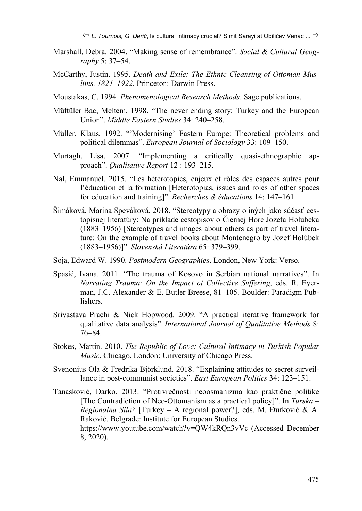*L. Tournois, G. Đerić*, Is cultural intimacy crucial? Simit Sarayi at Obilićev Venac ...

- Marshall, Debra. 2004. "Making sense of remembrance". *Social & Cultural Geography* 5: 37–54.
- McCarthy, Justin. 1995. *Death and Exile: The Ethnic Cleansing of Ottoman Muslims, 1821–1922*. Princeton: Darwin Press.
- Moustakas, C. 1994. *Phenomenological Research Methods*. Sage publications.
- Müftüler‐Bac, Meltem. 1998. "The never‐ending story: Turkey and the European Union". *Middle Eastern Studies* 34: 240–258.
- Müller, Klaus. 1992. "'Modernising' Eastern Europe: Theoretical problems and political dilemmas". *European Journal of Sociology* 33: 109–150.
- Murtagh, Lisa. 2007. "Implementing a critically quasi-ethnographic approach". *Qualitative Report* 12 : 193–215.
- Nal, Emmanuel. 2015. "Les hétérotopies, enjeux et rôles des espaces autres pour l'éducation et la formation [Heterotopias, issues and roles of other spaces for education and training]". *Recherches & éducations* 14: 147–161.
- Šimáková, Marina Speváková. 2018. "Stereotypy a obrazy o iných jako súčasť cestopisnej literatúry: Na príklade cestopisov o Čiernej Hore Jozefa Holúbeka (1883–1956) [Stereotypes and images about others as part of travel literature: On the example of travel books about Montenegro by Jozef Holúbek (1883–1956)]". *Slovenská Literatúra* 65: 379–399.
- Soja, Edward W. 1990. *Postmodern Geographies*. London, New York: Verso.
- Spasić, Ivana. 2011. "The trauma of Kosovo in Serbian national narratives". In *Narrating Trauma: On the Impact of Collective Suffering*, eds. R. Eyerman, J.C. Alexander & E. Butler Breese, 81–105. Boulder: Paradigm Publishers.
- Srivastava Prachi & Nick Hopwood. 2009. "A practical iterative framework for qualitative data analysis". *International Journal of Qualitative Methods* 8: 76–84.
- Stokes, Martin. 2010. *The Republic of Love: Cultural Intimacy in Turkish Popular Music*. Chicago, London: University of Chicago Press.
- Svenonius Ola & Fredrika Björklund. 2018. "Explaining attitudes to secret surveillance in post-communist societies". *East European Politics* 34: 123–151.
- Tanasković, Darko. 2013. "Protivrečnosti neoosmanizma kao praktične politike [The Contradiction of Neo-Ottomanism as a practical policy]". In *Turska – Regionalna Sila?* [Turkey – A regional power?], eds. M. Đurković & A. Raković. Belgrade: Institute for European Studies. https://www.youtube.com/watch?v=QW4kRQn3vVc (Accessed December 8, 2020).